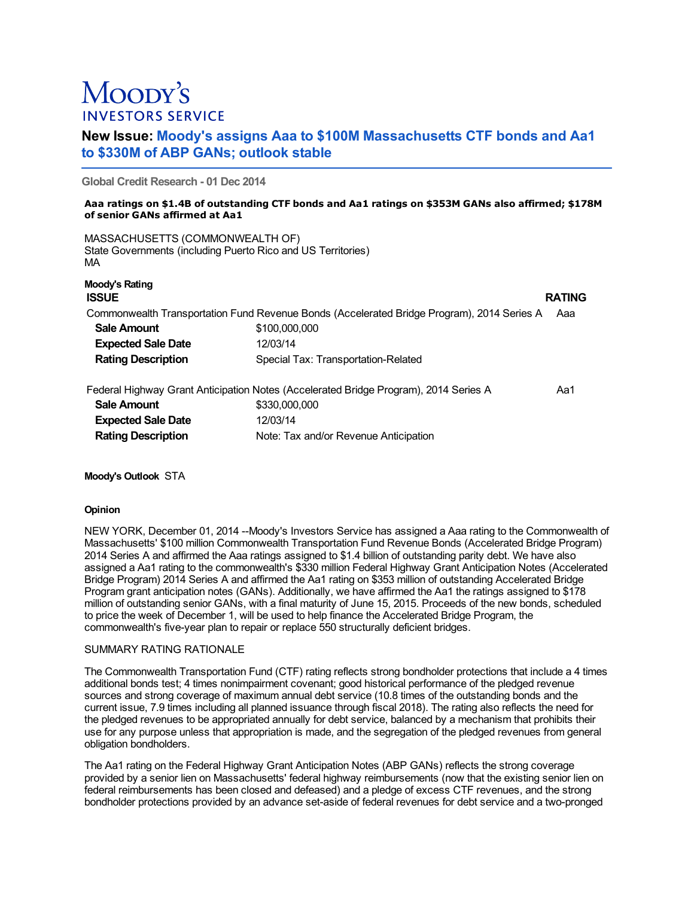# Moopy's **INVESTORS SERVICE**

## **New Issue: Moody's assigns Aaa to \$100M Massachusetts CTF bonds and Aa1 to \$330M of ABP GANs; outlook stable**

**Global Credit Research - 01 Dec 2014**

#### **Aaa ratings on \$1.4B of outstanding CTF bonds and Aa1 ratings on \$353M GANs also affirmed; \$178M of senior GANs affirmed at Aa1**

MASSACHUSETTS (COMMONWEALTH OF) State Governments (including Puerto Rico and US Territories) MA

| Moody's Rating<br><b>ISSUE</b>                                                       |                                                                                            | <b>RATING</b> |
|--------------------------------------------------------------------------------------|--------------------------------------------------------------------------------------------|---------------|
|                                                                                      | Commonwealth Transportation Fund Revenue Bonds (Accelerated Bridge Program), 2014 Series A | Aaa           |
| <b>Sale Amount</b>                                                                   | \$100,000,000                                                                              |               |
| <b>Expected Sale Date</b>                                                            | 12/03/14                                                                                   |               |
| <b>Rating Description</b>                                                            | Special Tax: Transportation-Related                                                        |               |
| Federal Highway Grant Anticipation Notes (Accelerated Bridge Program), 2014 Series A |                                                                                            | Aa1           |
| <b>Sale Amount</b>                                                                   | \$330,000,000                                                                              |               |
| <b>Expected Sale Date</b>                                                            | 12/03/14                                                                                   |               |
| <b>Rating Description</b>                                                            | Note: Tax and/or Revenue Anticipation                                                      |               |

**Moody's Outlook** STA

## **Opinion**

NEW YORK, December 01, 2014 --Moody's Investors Service has assigned a Aaa rating to the Commonwealth of Massachusetts' \$100 million Commonwealth Transportation Fund Revenue Bonds (Accelerated Bridge Program) 2014 Series A and affirmed the Aaa ratings assigned to \$1.4 billion of outstanding parity debt. We have also assigned a Aa1 rating to the commonwealth's \$330 million Federal Highway Grant Anticipation Notes (Accelerated Bridge Program) 2014 Series A and affirmed the Aa1 rating on \$353 million of outstanding Accelerated Bridge Program grant anticipation notes (GANs). Additionally, we have affirmed the Aa1 the ratings assigned to \$178 million of outstanding senior GANs, with a final maturity of June 15, 2015. Proceeds of the new bonds, scheduled to price the week of December 1, will be used to help finance the Accelerated Bridge Program, the commonwealth's five-year plan to repair or replace 550 structurally deficient bridges.

## SUMMARY RATING RATIONALE

The Commonwealth Transportation Fund (CTF) rating reflects strong bondholder protections that include a 4 times additional bonds test; 4 times nonimpairment covenant; good historical performance of the pledged revenue sources and strong coverage of maximum annual debt service (10.8 times of the outstanding bonds and the current issue, 7.9 times including all planned issuance through fiscal 2018). The rating also reflects the need for the pledged revenues to be appropriated annually for debt service, balanced by a mechanism that prohibits their use for any purpose unless that appropriation is made, and the segregation of the pledged revenues from general obligation bondholders.

The Aa1 rating on the Federal Highway Grant Anticipation Notes (ABP GANs) reflects the strong coverage provided by a senior lien on Massachusetts' federal highway reimbursements (now that the existing senior lien on federal reimbursements has been closed and defeased) and a pledge of excess CTF revenues, and the strong bondholder protections provided by an advance set-aside of federal revenues for debt service and a two-pronged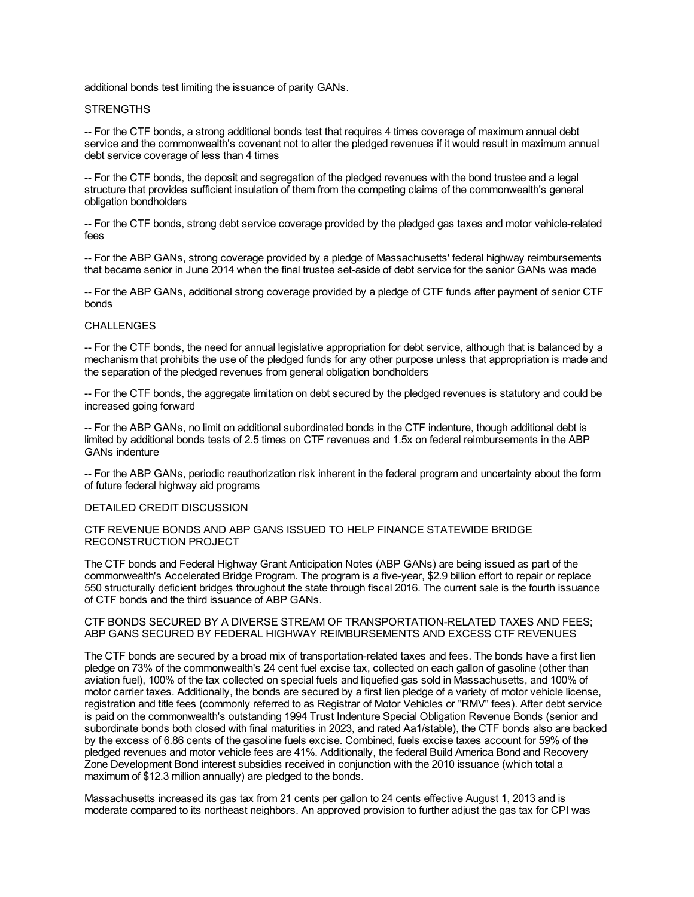additional bonds test limiting the issuance of parity GANs.

#### STRENGTHS

-- For the CTF bonds, a strong additional bonds test that requires 4 times coverage of maximum annual debt service and the commonwealth's covenant not to alter the pledged revenues if it would result in maximum annual debt service coverage of less than 4 times

-- For the CTF bonds, the deposit and segregation of the pledged revenues with the bond trustee and a legal structure that provides sufficient insulation of them from the competing claims of the commonwealth's general obligation bondholders

-- For the CTF bonds, strong debt service coverage provided by the pledged gas taxes and motor vehicle-related fees

-- For the ABP GANs, strong coverage provided by a pledge of Massachusetts' federal highway reimbursements that became senior in June 2014 when the final trustee set-aside of debt service for the senior GANs was made

-- For the ABP GANs, additional strong coverage provided by a pledge of CTF funds after payment of senior CTF bonds

## **CHALLENGES**

-- For the CTF bonds, the need for annual legislative appropriation for debt service, although that is balanced by a mechanism that prohibits the use of the pledged funds for any other purpose unless that appropriation is made and the separation of the pledged revenues from general obligation bondholders

-- For the CTF bonds, the aggregate limitation on debt secured by the pledged revenues is statutory and could be increased going forward

-- For the ABP GANs, no limit on additional subordinated bonds in the CTF indenture, though additional debt is limited by additional bonds tests of 2.5 times on CTF revenues and 1.5x on federal reimbursements in the ABP GANs indenture

-- For the ABP GANs, periodic reauthorization risk inherent in the federal program and uncertainty about the form of future federal highway aid programs

#### DETAILED CREDIT DISCUSSION

## CTF REVENUE BONDS AND ABP GANS ISSUED TO HELP FINANCE STATEWIDE BRIDGE RECONSTRUCTION PROJECT

The CTF bonds and Federal Highway Grant Anticipation Notes (ABP GANs) are being issued as part of the commonwealth's Accelerated Bridge Program. The program is a five-year, \$2.9 billion effort to repair or replace 550 structurally deficient bridges throughout the state through fiscal 2016. The current sale is the fourth issuance of CTF bonds and the third issuance of ABP GANs.

#### CTF BONDS SECURED BY A DIVERSE STREAM OF TRANSPORTATION-RELATED TAXES AND FEES; ABP GANS SECURED BY FEDERAL HIGHWAY REIMBURSEMENTS AND EXCESS CTF REVENUES

The CTF bonds are secured by a broad mix of transportation-related taxes and fees. The bonds have a first lien pledge on 73% of the commonwealth's 24 cent fuel excise tax, collected on each gallon of gasoline (other than aviation fuel), 100% of the tax collected on special fuels and liquefied gas sold in Massachusetts, and 100% of motor carrier taxes. Additionally, the bonds are secured by a first lien pledge of a variety of motor vehicle license, registration and title fees (commonly referred to as Registrar of Motor Vehicles or "RMV" fees). After debt service is paid on the commonwealth's outstanding 1994 Trust Indenture Special Obligation Revenue Bonds (senior and subordinate bonds both closed with final maturities in 2023, and rated Aa1/stable), the CTF bonds also are backed by the excess of 6.86 cents of the gasoline fuels excise. Combined, fuels excise taxes account for 59% of the pledged revenues and motor vehicle fees are 41%. Additionally, the federal Build America Bond and Recovery Zone Development Bond interest subsidies received in conjunction with the 2010 issuance (which total a maximum of \$12.3 million annually) are pledged to the bonds.

Massachusetts increased its gas tax from 21 cents per gallon to 24 cents effective August 1, 2013 and is moderate compared to its northeast neighbors. An approved provision to further adjust the gas tax for CPI was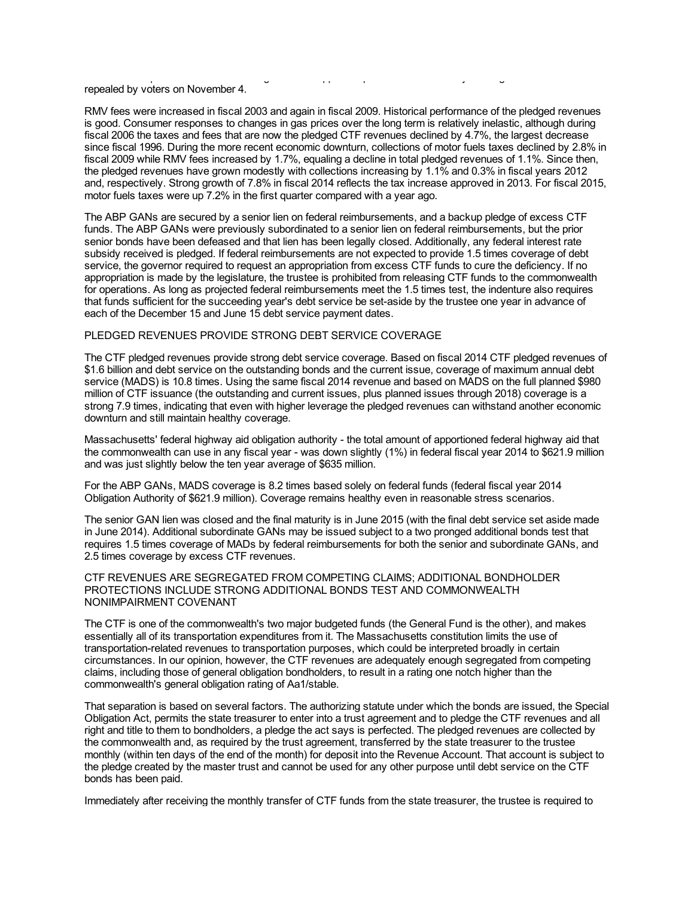moderate compared to its northeast neighbors. An approved provision to further adjust the gas tax for CPI was repealed by voters on November 4.

RMV fees were increased in fiscal 2003 and again in fiscal 2009. Historical performance of the pledged revenues is good. Consumer responses to changes in gas prices over the long term is relatively inelastic, although during fiscal 2006 the taxes and fees that are now the pledged CTF revenues declined by 4.7%, the largest decrease since fiscal 1996. During the more recent economic downturn, collections of motor fuels taxes declined by 2.8% in fiscal 2009 while RMV fees increased by 1.7%, equaling a decline in total pledged revenues of 1.1%. Since then, the pledged revenues have grown modestly with collections increasing by 1.1% and 0.3% in fiscal years 2012 and, respectively. Strong growth of 7.8% in fiscal 2014 reflects the tax increase approved in 2013. For fiscal 2015, motor fuels taxes were up 7.2% in the first quarter compared with a year ago.

The ABP GANs are secured by a senior lien on federal reimbursements, and a backup pledge of excess CTF funds. The ABP GANs were previously subordinated to a senior lien on federal reimbursements, but the prior senior bonds have been defeased and that lien has been legally closed. Additionally, any federal interest rate subsidy received is pledged. If federal reimbursements are not expected to provide 1.5 times coverage of debt service, the governor required to request an appropriation from excess CTF funds to cure the deficiency. If no appropriation is made by the legislature, the trustee is prohibited from releasing CTF funds to the commonwealth for operations. As long as projected federal reimbursements meet the 1.5 times test, the indenture also requires that funds sufficient for the succeeding year's debt service be set-aside by the trustee one year in advance of each of the December 15 and June 15 debt service payment dates.

## PLEDGED REVENUES PROVIDE STRONG DEBT SERVICE COVERAGE

The CTF pledged revenues provide strong debt service coverage. Based on fiscal 2014 CTF pledged revenues of \$1.6 billion and debt service on the outstanding bonds and the current issue, coverage of maximum annual debt service (MADS) is 10.8 times. Using the same fiscal 2014 revenue and based on MADS on the full planned \$980 million of CTF issuance (the outstanding and current issues, plus planned issues through 2018) coverage is a strong 7.9 times, indicating that even with higher leverage the pledged revenues can withstand another economic downturn and still maintain healthy coverage.

Massachusetts' federal highway aid obligation authority - the total amount of apportioned federal highway aid that the commonwealth can use in any fiscal year - was down slightly (1%) in federal fiscal year 2014 to \$621.9 million and was just slightly below the ten year average of \$635 million.

For the ABP GANs, MADS coverage is 8.2 times based solely on federal funds (federal fiscal year 2014 Obligation Authority of \$621.9 million). Coverage remains healthy even in reasonable stress scenarios.

The senior GAN lien was closed and the final maturity is in June 2015 (with the final debt service set aside made in June 2014). Additional subordinate GANs may be issued subject to a two pronged additional bonds test that requires 1.5 times coverage of MADs by federal reimbursements for both the senior and subordinate GANs, and 2.5 times coverage by excess CTF revenues.

#### CTF REVENUES ARE SEGREGATED FROM COMPETING CLAIMS; ADDITIONAL BONDHOLDER PROTECTIONS INCLUDE STRONG ADDITIONAL BONDS TEST AND COMMONWEALTH NONIMPAIRMENT COVENANT

The CTF is one of the commonwealth's two major budgeted funds (the General Fund is the other), and makes essentially all of its transportation expenditures from it. The Massachusetts constitution limits the use of transportation-related revenues to transportation purposes, which could be interpreted broadly in certain circumstances. In our opinion, however, the CTF revenues are adequately enough segregated from competing claims, including those of general obligation bondholders, to result in a rating one notch higher than the commonwealth's general obligation rating of Aa1/stable.

That separation is based on several factors. The authorizing statute under which the bonds are issued, the Special Obligation Act, permits the state treasurer to enter into a trust agreement and to pledge the CTF revenues and all right and title to them to bondholders, a pledge the act says is perfected. The pledged revenues are collected by the commonwealth and, as required by the trust agreement, transferred by the state treasurer to the trustee monthly (within ten days of the end of the month) for deposit into the Revenue Account. That account is subject to the pledge created by the master trust and cannot be used for any other purpose until debt service on the CTF bonds has been paid.

Immediately after receiving the monthly transfer of CTF funds from the state treasurer, the trustee is required to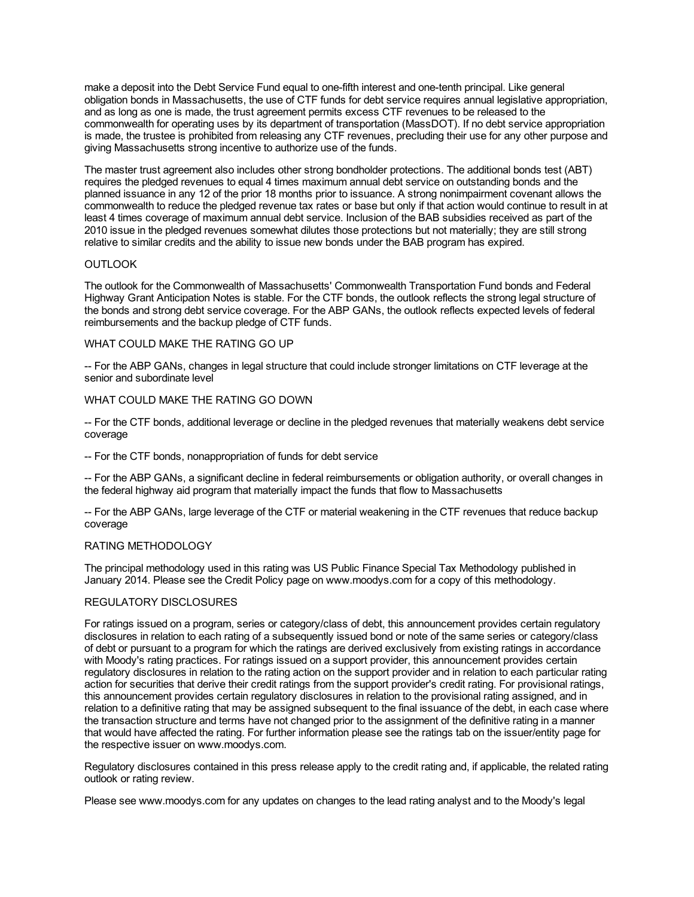make a deposit into the Debt Service Fund equal to one-fifth interest and one-tenth principal. Like general obligation bonds in Massachusetts, the use of CTF funds for debt service requires annual legislative appropriation, and as long as one is made, the trust agreement permits excess CTF revenues to be released to the commonwealth for operating uses by its department of transportation (MassDOT). If no debt service appropriation is made, the trustee is prohibited from releasing any CTF revenues, precluding their use for any other purpose and giving Massachusetts strong incentive to authorize use of the funds.

The master trust agreement also includes other strong bondholder protections. The additional bonds test (ABT) requires the pledged revenues to equal 4 times maximum annual debt service on outstanding bonds and the planned issuance in any 12 of the prior 18 months prior to issuance. A strong nonimpairment covenant allows the commonwealth to reduce the pledged revenue tax rates or base but only if that action would continue to result in at least 4 times coverage of maximum annual debt service. Inclusion of the BAB subsidies received as part of the 2010 issue in the pledged revenues somewhat dilutes those protections but not materially; they are still strong relative to similar credits and the ability to issue new bonds under the BAB program has expired.

## **OUTLOOK**

The outlook for the Commonwealth of Massachusetts' Commonwealth Transportation Fund bonds and Federal Highway Grant Anticipation Notes is stable. For the CTF bonds, the outlook reflects the strong legal structure of the bonds and strong debt service coverage. For the ABP GANs, the outlook reflects expected levels of federal reimbursements and the backup pledge of CTF funds.

#### WHAT COULD MAKE THE RATING GO UP

-- For the ABP GANs, changes in legal structure that could include stronger limitations on CTF leverage at the senior and subordinate level

#### WHAT COULD MAKE THE RATING GO DOWN

-- For the CTF bonds, additional leverage or decline in the pledged revenues that materially weakens debt service coverage

-- For the CTF bonds, nonappropriation of funds for debt service

-- For the ABP GANs, a significant decline in federal reimbursements or obligation authority, or overall changes in the federal highway aid program that materially impact the funds that flow to Massachusetts

-- For the ABP GANs, large leverage of the CTF or material weakening in the CTF revenues that reduce backup coverage

## RATING METHODOLOGY

The principal methodology used in this rating was US Public Finance Special Tax Methodology published in January 2014. Please see the Credit Policy page on www.moodys.com for a copy of this methodology.

## REGULATORY DISCLOSURES

For ratings issued on a program, series or category/class of debt, this announcement provides certain regulatory disclosures in relation to each rating of a subsequently issued bond or note of the same series or category/class of debt or pursuant to a program for which the ratings are derived exclusively from existing ratings in accordance with Moody's rating practices. For ratings issued on a support provider, this announcement provides certain regulatory disclosures in relation to the rating action on the support provider and in relation to each particular rating action for securities that derive their credit ratings from the support provider's credit rating. For provisional ratings, this announcement provides certain regulatory disclosures in relation to the provisional rating assigned, and in relation to a definitive rating that may be assigned subsequent to the final issuance of the debt, in each case where the transaction structure and terms have not changed prior to the assignment of the definitive rating in a manner that would have affected the rating. For further information please see the ratings tab on the issuer/entity page for the respective issuer on www.moodys.com.

Regulatory disclosures contained in this press release apply to the credit rating and, if applicable, the related rating outlook or rating review.

Please see www.moodys.com for any updates on changes to the lead rating analyst and to the Moody's legal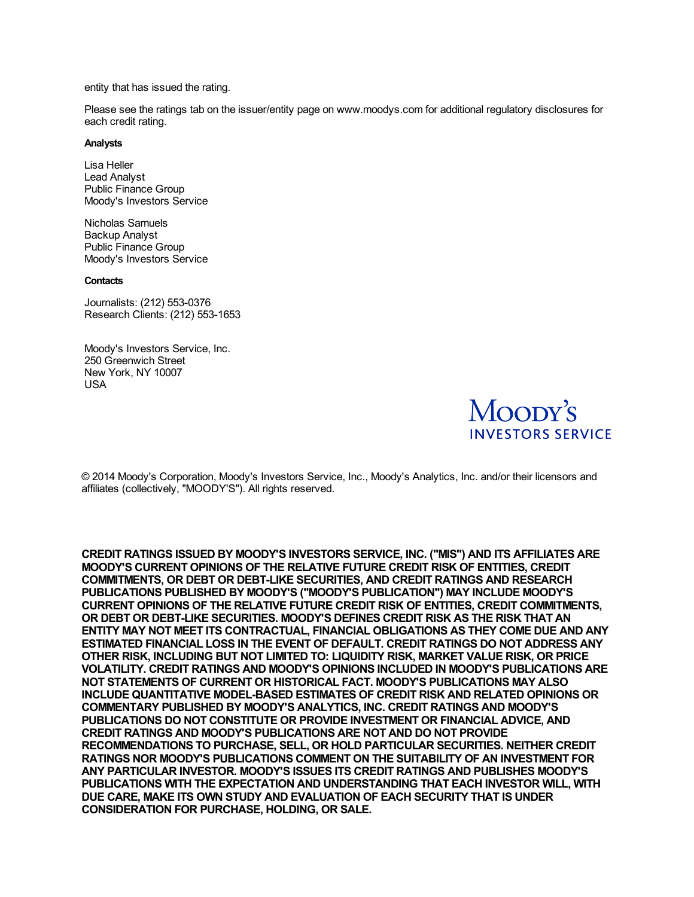entity that has issued the rating.

Please see the ratings tab on the issuer/entity page on www.moodys.com for additional regulatory disclosures for each credit rating.

#### **Analysts**

Lisa Heller Lead Analyst Public Finance Group Moody's Investors Service

Nicholas Samuels Backup Analyst Public Finance Group Moody's Investors Service

#### **Contacts**

Journalists: (212) 553-0376 Research Clients: (212) 553-1653

Moody's Investors Service, Inc. 250 Greenwich Street New York, NY 10007 USA



© 2014 Moody's Corporation, Moody's Investors Service, Inc., Moody's Analytics, Inc. and/or their licensors and affiliates (collectively, "MOODY'S"). All rights reserved.

**CREDIT RATINGS ISSUED BY MOODY'S INVESTORS SERVICE, INC. ("MIS") AND ITS AFFILIATES ARE MOODY'S CURRENT OPINIONS OF THE RELATIVE FUTURE CREDIT RISK OF ENTITIES, CREDIT COMMITMENTS, OR DEBT OR DEBT-LIKE SECURITIES, AND CREDIT RATINGS AND RESEARCH PUBLICATIONS PUBLISHED BY MOODY'S ("MOODY'S PUBLICATION") MAY INCLUDE MOODY'S CURRENT OPINIONS OF THE RELATIVE FUTURE CREDIT RISK OF ENTITIES, CREDIT COMMITMENTS, OR DEBT OR DEBT-LIKE SECURITIES. MOODY'S DEFINES CREDIT RISK AS THE RISK THAT AN ENTITY MAY NOT MEET ITS CONTRACTUAL, FINANCIAL OBLIGATIONS AS THEY COME DUE AND ANY ESTIMATED FINANCIAL LOSS IN THE EVENT OF DEFAULT. CREDIT RATINGS DO NOT ADDRESS ANY OTHER RISK, INCLUDING BUT NOT LIMITED TO: LIQUIDITY RISK, MARKET VALUE RISK, OR PRICE VOLATILITY. CREDIT RATINGS AND MOODY'S OPINIONS INCLUDED IN MOODY'S PUBLICATIONS ARE NOT STATEMENTS OF CURRENT OR HISTORICAL FACT. MOODY'S PUBLICATIONS MAY ALSO INCLUDE QUANTITATIVE MODEL-BASED ESTIMATES OF CREDIT RISK AND RELATED OPINIONS OR COMMENTARY PUBLISHED BY MOODY'S ANALYTICS, INC. CREDIT RATINGS AND MOODY'S PUBLICATIONS DO NOT CONSTITUTE OR PROVIDE INVESTMENT OR FINANCIAL ADVICE, AND CREDIT RATINGS AND MOODY'S PUBLICATIONS ARE NOT AND DO NOT PROVIDE RECOMMENDATIONS TO PURCHASE, SELL, OR HOLD PARTICULAR SECURITIES. NEITHER CREDIT RATINGS NOR MOODY'S PUBLICATIONS COMMENT ON THE SUITABILITY OF AN INVESTMENT FOR ANY PARTICULAR INVESTOR. MOODY'S ISSUES ITS CREDIT RATINGS AND PUBLISHES MOODY'S PUBLICATIONS WITH THE EXPECTATION AND UNDERSTANDING THAT EACH INVESTOR WILL, WITH DUE CARE, MAKE ITS OWN STUDY AND EVALUATION OF EACH SECURITY THAT IS UNDER CONSIDERATION FOR PURCHASE, HOLDING, OR SALE.**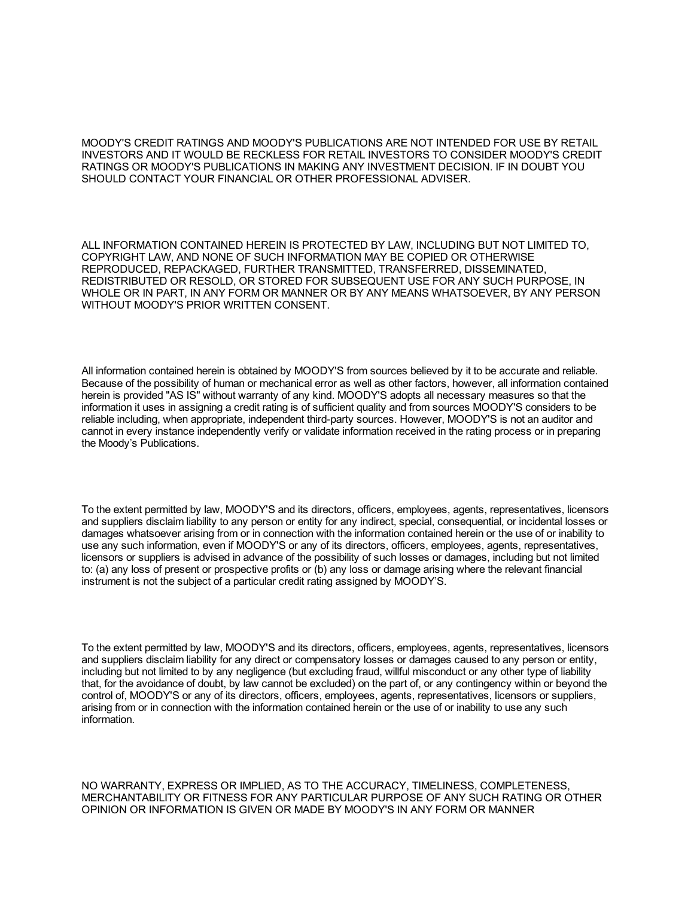MOODY'S CREDIT RATINGS AND MOODY'S PUBLICATIONS ARE NOT INTENDED FOR USE BY RETAIL INVESTORS AND IT WOULD BE RECKLESS FOR RETAIL INVESTORS TO CONSIDER MOODY'S CREDIT RATINGS OR MOODY'S PUBLICATIONS IN MAKING ANY INVESTMENT DECISION. IF IN DOUBT YOU SHOULD CONTACT YOUR FINANCIAL OR OTHER PROFESSIONAL ADVISER.

ALL INFORMATION CONTAINED HEREIN IS PROTECTED BY LAW, INCLUDING BUT NOT LIMITED TO, COPYRIGHT LAW, AND NONE OF SUCH INFORMATION MAY BE COPIED OR OTHERWISE REPRODUCED, REPACKAGED, FURTHER TRANSMITTED, TRANSFERRED, DISSEMINATED, REDISTRIBUTED OR RESOLD, OR STORED FOR SUBSEQUENT USE FOR ANY SUCH PURPOSE, IN WHOLE OR IN PART, IN ANY FORM OR MANNER OR BY ANY MEANS WHATSOEVER, BY ANY PERSON WITHOUT MOODY'S PRIOR WRITTEN CONSENT.

All information contained herein is obtained by MOODY'S from sources believed by it to be accurate and reliable. Because of the possibility of human or mechanical error as well as other factors, however, all information contained herein is provided "AS IS" without warranty of any kind. MOODY'S adopts all necessary measures so that the information it uses in assigning a credit rating is of sufficient quality and from sources MOODY'S considers to be reliable including, when appropriate, independent third-party sources. However, MOODY'S is not an auditor and cannot in every instance independently verify or validate information received in the rating process or in preparing the Moody's Publications.

To the extent permitted by law, MOODY'S and its directors, officers, employees, agents, representatives, licensors and suppliers disclaim liability to any person or entity for any indirect, special, consequential, or incidental losses or damages whatsoever arising from or in connection with the information contained herein or the use of or inability to use any such information, even if MOODY'S or any of its directors, officers, employees, agents, representatives, licensors or suppliers is advised in advance of the possibility of such losses or damages, including but not limited to: (a) any loss of present or prospective profits or (b) any loss or damage arising where the relevant financial instrument is not the subject of a particular credit rating assigned by MOODY'S.

To the extent permitted by law, MOODY'S and its directors, officers, employees, agents, representatives, licensors and suppliers disclaim liability for any direct or compensatory losses or damages caused to any person or entity, including but not limited to by any negligence (but excluding fraud, willful misconduct or any other type of liability that, for the avoidance of doubt, by law cannot be excluded) on the part of, or any contingency within or beyond the control of, MOODY'S or any of its directors, officers, employees, agents, representatives, licensors or suppliers, arising from or in connection with the information contained herein or the use of or inability to use any such information.

NO WARRANTY, EXPRESS OR IMPLIED, AS TO THE ACCURACY, TIMELINESS, COMPLETENESS, MERCHANTABILITY OR FITNESS FOR ANY PARTICULAR PURPOSE OF ANY SUCH RATING OR OTHER OPINION OR INFORMATION IS GIVEN OR MADE BY MOODY'S IN ANY FORM OR MANNER